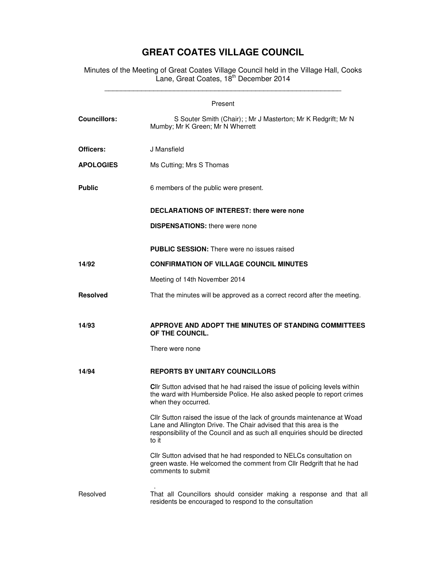## **GREAT COATES VILLAGE COUNCIL**

Minutes of the Meeting of Great Coates Village Council held in the Village Hall, Cooks Lane, Great Coates, 18<sup>th</sup> December 2014 \_\_\_\_\_\_\_\_\_\_\_\_\_\_\_\_\_\_\_\_\_\_\_\_\_\_\_\_\_\_\_\_\_\_\_\_\_\_\_\_\_\_\_\_\_\_\_\_\_\_\_\_\_\_\_\_\_\_

| Present             |                                                                                                                                                                                                                                     |  |
|---------------------|-------------------------------------------------------------------------------------------------------------------------------------------------------------------------------------------------------------------------------------|--|
| <b>Councillors:</b> | S Souter Smith (Chair); ; Mr J Masterton; Mr K Redgrift; Mr N<br>Mumby; Mr K Green; Mr N Wherrett                                                                                                                                   |  |
| Officers:           | J Mansfield                                                                                                                                                                                                                         |  |
| <b>APOLOGIES</b>    | Ms Cutting; Mrs S Thomas                                                                                                                                                                                                            |  |
| <b>Public</b>       | 6 members of the public were present.                                                                                                                                                                                               |  |
|                     | <b>DECLARATIONS OF INTEREST: there were none</b>                                                                                                                                                                                    |  |
|                     | <b>DISPENSATIONS:</b> there were none                                                                                                                                                                                               |  |
|                     | PUBLIC SESSION: There were no issues raised                                                                                                                                                                                         |  |
| 14/92               | <b>CONFIRMATION OF VILLAGE COUNCIL MINUTES</b>                                                                                                                                                                                      |  |
|                     | Meeting of 14th November 2014                                                                                                                                                                                                       |  |
| <b>Resolved</b>     | That the minutes will be approved as a correct record after the meeting.                                                                                                                                                            |  |
| 14/93               | APPROVE AND ADOPT THE MINUTES OF STANDING COMMITTEES<br>OF THE COUNCIL.<br>There were none                                                                                                                                          |  |
| 14/94               | <b>REPORTS BY UNITARY COUNCILLORS</b>                                                                                                                                                                                               |  |
|                     | <b>Cllr</b> Sutton advised that he had raised the issue of policing levels within<br>the ward with Humberside Police. He also asked people to report crimes<br>when they occurred.                                                  |  |
|                     | Cllr Sutton raised the issue of the lack of grounds maintenance at Woad<br>Lane and Allington Drive. The Chair advised that this area is the<br>responsibility of the Council and as such all enquiries should be directed<br>to it |  |
|                     | Cllr Sutton advised that he had responded to NELCs consultation on<br>green waste. He welcomed the comment from Cllr Redgrift that he had<br>comments to submit                                                                     |  |
| Resolved            | That all Councillors should consider making a response and that all<br>residents be encouraged to respond to the consultation                                                                                                       |  |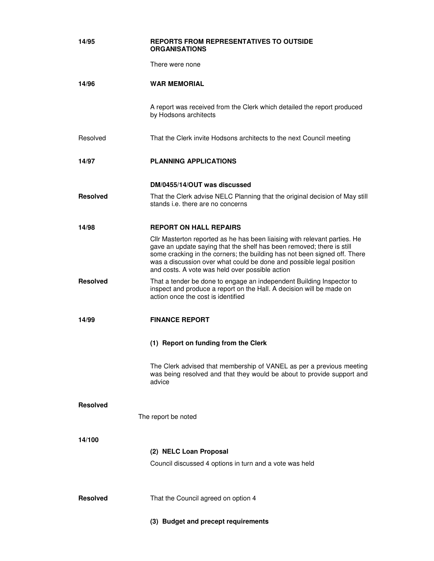| 14/95           | <b>REPORTS FROM REPRESENTATIVES TO OUTSIDE</b><br>ORGANISATIONS                                                                                                                                                                                                                                                                                            |
|-----------------|------------------------------------------------------------------------------------------------------------------------------------------------------------------------------------------------------------------------------------------------------------------------------------------------------------------------------------------------------------|
|                 | There were none                                                                                                                                                                                                                                                                                                                                            |
| 14/96           | <b>WAR MEMORIAL</b>                                                                                                                                                                                                                                                                                                                                        |
|                 | A report was received from the Clerk which detailed the report produced<br>by Hodsons architects                                                                                                                                                                                                                                                           |
| Resolved        | That the Clerk invite Hodsons architects to the next Council meeting                                                                                                                                                                                                                                                                                       |
| 14/97           | <b>PLANNING APPLICATIONS</b>                                                                                                                                                                                                                                                                                                                               |
|                 | DM/0455/14/OUT was discussed                                                                                                                                                                                                                                                                                                                               |
| <b>Resolved</b> | That the Clerk advise NELC Planning that the original decision of May still<br>stands <i>i.e.</i> there are no concerns                                                                                                                                                                                                                                    |
| 14/98           | <b>REPORT ON HALL REPAIRS</b>                                                                                                                                                                                                                                                                                                                              |
|                 | Cllr Masterton reported as he has been liaising with relevant parties. He<br>gave an update saying that the shelf has been removed; there is still<br>some cracking in the corners; the building has not been signed off. There<br>was a discussion over what could be done and possible legal position<br>and costs. A vote was held over possible action |
| <b>Resolved</b> | That a tender be done to engage an independent Building Inspector to<br>inspect and produce a report on the Hall. A decision will be made on<br>action once the cost is identified                                                                                                                                                                         |
| 14/99           | <b>FINANCE REPORT</b>                                                                                                                                                                                                                                                                                                                                      |
|                 | (1) Report on funding from the Clerk                                                                                                                                                                                                                                                                                                                       |
|                 | The Clerk advised that membership of VANEL as per a previous meeting<br>was being resolved and that they would be about to provide support and<br>advice                                                                                                                                                                                                   |
| <b>Resolved</b> |                                                                                                                                                                                                                                                                                                                                                            |
|                 | The report be noted                                                                                                                                                                                                                                                                                                                                        |
| 14/100          |                                                                                                                                                                                                                                                                                                                                                            |
|                 | (2) NELC Loan Proposal                                                                                                                                                                                                                                                                                                                                     |
|                 | Council discussed 4 options in turn and a vote was held                                                                                                                                                                                                                                                                                                    |
| <b>Resolved</b> | That the Council agreed on option 4                                                                                                                                                                                                                                                                                                                        |
|                 | (3) Budget and precept requirements                                                                                                                                                                                                                                                                                                                        |